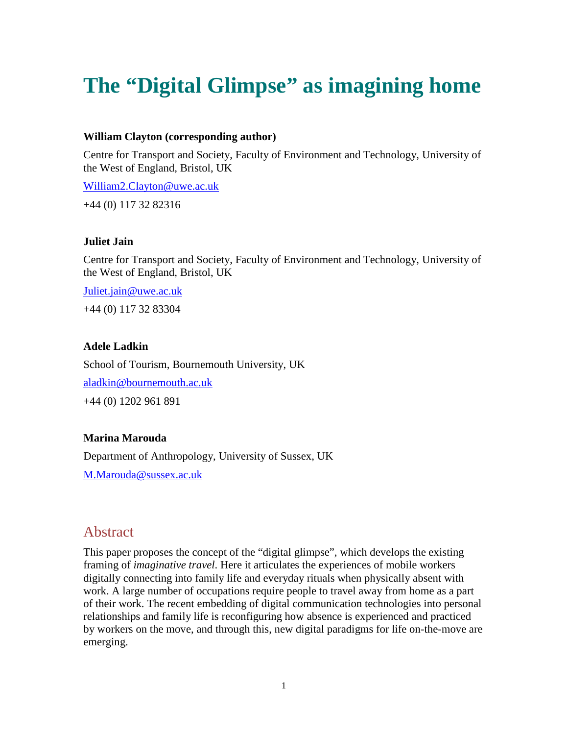# **The "Digital Glimpse" as imagining home**

#### **William Clayton (corresponding author)**

Centre for Transport and Society, Faculty of Environment and Technology, University of the West of England*,* Bristol, UK

[William2.Clayton@uwe.ac.uk](mailto:William2.Clayton@uwe.ac.uk)

+44 (0) 117 32 82316

#### **Juliet Jain**

Centre for Transport and Society, Faculty of Environment and Technology, University of the West of England*,* Bristol, UK

[Juliet.jain@uwe.ac.uk](mailto:Juliet.jain@uwe.ac.uk)

+44 (0) 117 32 83304

#### **Adele Ladkin**

School of Tourism, Bournemouth University, UK [aladkin@bournemouth.ac.uk](mailto:aladkin@bournemouth.ac.uk) +44 (0) 1202 961 891

### **Marina Marouda**

Department of Anthropology, University of Sussex, UK [M.Marouda@sussex.ac.uk](mailto:M.Marouda@sussex.ac.uk)

### Abstract

This paper proposes the concept of the "digital glimpse", which develops the existing framing of *imaginative travel*. Here it articulates the experiences of mobile workers digitally connecting into family life and everyday rituals when physically absent with work. A large number of occupations require people to travel away from home as a part of their work. The recent embedding of digital communication technologies into personal relationships and family life is reconfiguring how absence is experienced and practiced by workers on the move, and through this, new digital paradigms for life on-the-move are emerging.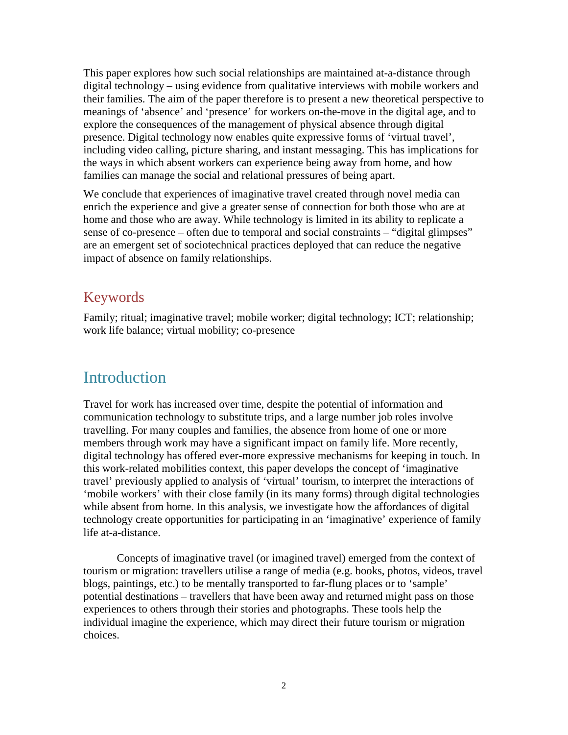This paper explores how such social relationships are maintained at-a-distance through digital technology – using evidence from qualitative interviews with mobile workers and their families. The aim of the paper therefore is to present a new theoretical perspective to meanings of 'absence' and 'presence' for workers on-the-move in the digital age, and to explore the consequences of the management of physical absence through digital presence. Digital technology now enables quite expressive forms of 'virtual travel', including video calling, picture sharing, and instant messaging. This has implications for the ways in which absent workers can experience being away from home, and how families can manage the social and relational pressures of being apart.

We conclude that experiences of imaginative travel created through novel media can enrich the experience and give a greater sense of connection for both those who are at home and those who are away. While technology is limited in its ability to replicate a sense of co-presence – often due to temporal and social constraints – "digital glimpses" are an emergent set of sociotechnical practices deployed that can reduce the negative impact of absence on family relationships.

### Keywords

Family; ritual; imaginative travel; mobile worker; digital technology; ICT; relationship; work life balance; virtual mobility; co-presence

# Introduction

Travel for work has increased over time, despite the potential of information and communication technology to substitute trips, and a large number job roles involve travelling. For many couples and families, the absence from home of one or more members through work may have a significant impact on family life. More recently, digital technology has offered ever-more expressive mechanisms for keeping in touch. In this work-related mobilities context, this paper develops the concept of 'imaginative travel' previously applied to analysis of 'virtual' tourism, to interpret the interactions of 'mobile workers' with their close family (in its many forms) through digital technologies while absent from home. In this analysis, we investigate how the affordances of digital technology create opportunities for participating in an 'imaginative' experience of family life at-a-distance.

Concepts of imaginative travel (or imagined travel) emerged from the context of tourism or migration: travellers utilise a range of media (e.g. books, photos, videos, travel blogs, paintings, etc.) to be mentally transported to far-flung places or to 'sample' potential destinations – travellers that have been away and returned might pass on those experiences to others through their stories and photographs. These tools help the individual imagine the experience, which may direct their future tourism or migration choices.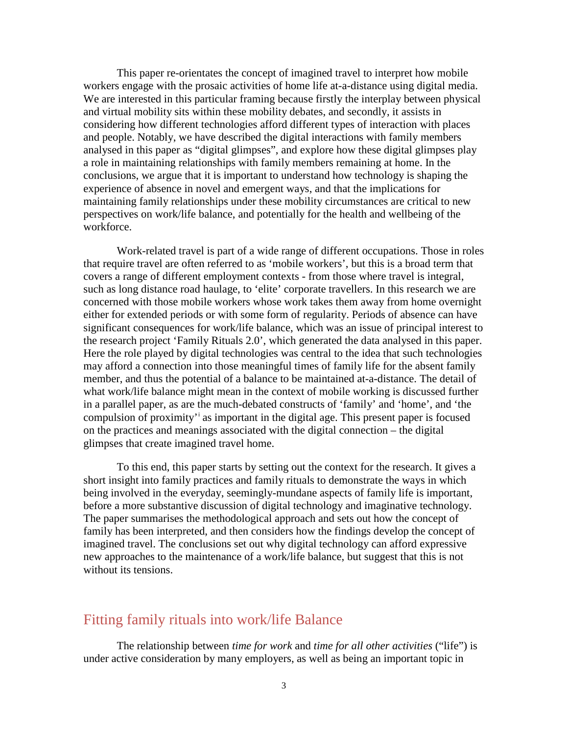This paper re-orientates the concept of imagined travel to interpret how mobile workers engage with the prosaic activities of home life at-a-distance using digital media. We are interested in this particular framing because firstly the interplay between physical and virtual mobility sits within these mobility debates, and secondly, it assists in considering how different technologies afford different types of interaction with places and people. Notably, we have described the digital interactions with family members analysed in this paper as "digital glimpses", and explore how these digital glimpses play a role in maintaining relationships with family members remaining at home. In the conclusions, we argue that it is important to understand how technology is shaping the experience of absence in novel and emergent ways, and that the implications for maintaining family relationships under these mobility circumstances are critical to new perspectives on work/life balance, and potentially for the health and wellbeing of the workforce.

Work-related travel is part of a wide range of different occupations. Those in roles that require travel are often referred to as 'mobile workers', but this is a broad term that covers a range of different employment contexts - from those where travel is integral, such as long distance road haulage, to 'elite' corporate travellers. In this research we are concerned with those mobile workers whose work takes them away from home overnight either for extended periods or with some form of regularity. Periods of absence can have significant consequences for work/life balance, which was an issue of principal interest to the research project 'Family Rituals 2.0', which generated the data analysed in this paper. Here the role played by digital technologies was central to the idea that such technologies may afford a connection into those meaningful times of family life for the absent family member, and thus the potential of a balance to be maintained at-a-distance. The detail of what work/life balance might mean in the context of mobile working is discussed further in a parallel paper, as are the much-debated constructs of 'family' and 'home', and 'the compulsion of proximity'[i](#page-6-0) as important in the digital age. This present paper is focused on the practices and meanings associated with the digital connection – the digital glimpses that create imagined travel home.

To this end, this paper starts by setting out the context for the research. It gives a short insight into family practices and family rituals to demonstrate the ways in which being involved in the everyday, seemingly-mundane aspects of family life is important, before a more substantive discussion of digital technology and imaginative technology. The paper summarises the methodological approach and sets out how the concept of family has been interpreted, and then considers how the findings develop the concept of imagined travel. The conclusions set out why digital technology can afford expressive new approaches to the maintenance of a work/life balance, but suggest that this is not without its tensions.

### Fitting family rituals into work/life Balance

The relationship between *time for work* and *time for all other activities* ("life") is under active consideration by many employers, as well as being an important topic in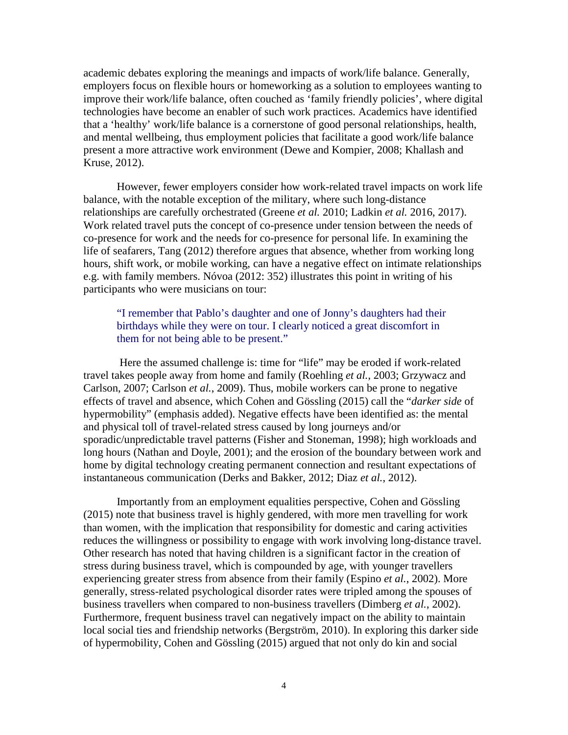academic debates exploring the meanings and impacts of work/life balance. Generally, employers focus on flexible hours or homeworking as a solution to employees wanting to improve their work/life balance, often couched as 'family friendly policies', where digital technologies have become an enabler of such work practices. Academics have identified that a 'healthy' work/life balance is a cornerstone of good personal relationships, health, and mental wellbeing, thus employment policies that facilitate a good work/life balance present a more attractive work environment (Dewe and Kompier, 2008; Khallash and Kruse, 2012).

However, fewer employers consider how work-related travel impacts on work life balance, with the notable exception of the military, where such long-distance relationships are carefully orchestrated (Greene *et al.* 2010; Ladkin *et al.* 2016, 2017). Work related travel puts the concept of co-presence under tension between the needs of co-presence for work and the needs for co-presence for personal life. In examining the life of seafarers, Tang (2012) therefore argues that absence, whether from working long hours, shift work, or mobile working, can have a negative effect on intimate relationships e.g. with family members. Nóvoa (2012: 352) illustrates this point in writing of his participants who were musicians on tour:

#### "I remember that Pablo's daughter and one of Jonny's daughters had their birthdays while they were on tour. I clearly noticed a great discomfort in them for not being able to be present."

Here the assumed challenge is: time for "life" may be eroded if work-related travel takes people away from home and family (Roehling *et al.*, 2003; Grzywacz and Carlson, 2007; Carlson *et al.*, 2009). Thus, mobile workers can be prone to negative effects of travel and absence, which Cohen and Gössling (2015) call the "*darker side* of hypermobility" (emphasis added). Negative effects have been identified as: the mental and physical toll of travel-related stress caused by long journeys and/or sporadic/unpredictable travel patterns (Fisher and Stoneman, 1998); high workloads and long hours (Nathan and Doyle, 2001); and the erosion of the boundary between work and home by digital technology creating permanent connection and resultant expectations of instantaneous communication (Derks and Bakker, 2012; Diaz *et al.*, 2012).

Importantly from an employment equalities perspective, Cohen and Gössling (2015) note that business travel is highly gendered, with more men travelling for work than women, with the implication that responsibility for domestic and caring activities reduces the willingness or possibility to engage with work involving long-distance travel. Other research has noted that having children is a significant factor in the creation of stress during business travel, which is compounded by age, with younger travellers experiencing greater stress from absence from their family (Espino *et al.*, 2002). More generally, stress-related psychological disorder rates were tripled among the spouses of business travellers when compared to non-business travellers (Dimberg *et al.*, 2002). Furthermore, frequent business travel can negatively impact on the ability to maintain local social ties and friendship networks (Bergström, 2010). In exploring this darker side of hypermobility, Cohen and Gössling (2015) argued that not only do kin and social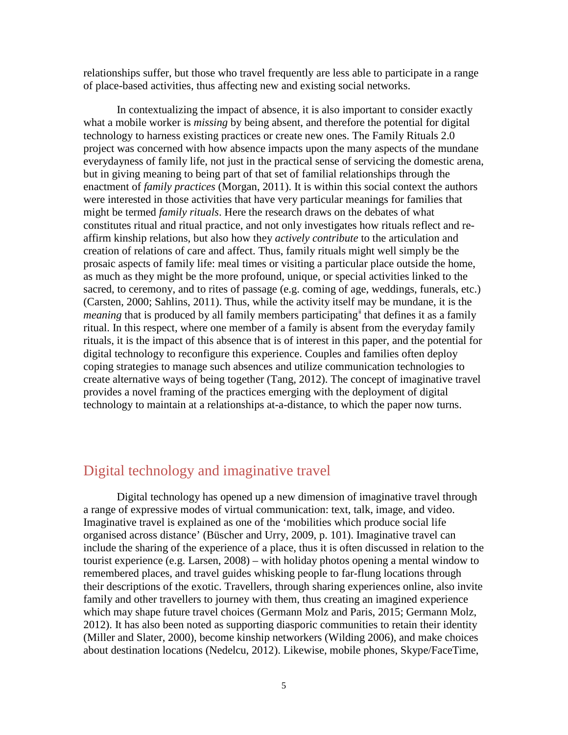relationships suffer, but those who travel frequently are less able to participate in a range of place-based activities, thus affecting new and existing social networks.

In contextualizing the impact of absence, it is also important to consider exactly what a mobile worker is *missing* by being absent, and therefore the potential for digital technology to harness existing practices or create new ones. The Family Rituals 2.0 project was concerned with how absence impacts upon the many aspects of the mundane everydayness of family life, not just in the practical sense of servicing the domestic arena, but in giving meaning to being part of that set of familial relationships through the enactment of *family practices* (Morgan, 2011). It is within this social context the authors were interested in those activities that have very particular meanings for families that might be termed *family rituals*. Here the research draws on the debates of what constitutes ritual and ritual practice, and not only investigates how rituals reflect and reaffirm kinship relations, but also how they *actively contribute* to the articulation and creation of relations of care and affect. Thus, family rituals might well simply be the prosaic aspects of family life: meal times or visiting a particular place outside the home, as much as they might be the more profound, unique, or special activities linked to the sacred, to ceremony, and to rites of passage (e.g. coming of age, weddings, funerals, etc.) (Carsten, 2000; Sahlins, 2011). Thus, while the activity itself may be mundane, it is the *meaning* that is produced by all family members participating<sup>"</sup> that defines it as a family ritual. In this respect, where one member of a family is absent from the everyday family rituals, it is the impact of this absence that is of interest in this paper, and the potential for digital technology to reconfigure this experience. Couples and families often deploy coping strategies to manage such absences and utilize communication technologies to create alternative ways of being together (Tang, 2012). The concept of imaginative travel provides a novel framing of the practices emerging with the deployment of digital technology to maintain at a relationships at-a-distance, to which the paper now turns.

### Digital technology and imaginative travel

Digital technology has opened up a new dimension of imaginative travel through a range of expressive modes of virtual communication: text, talk, image, and video. Imaginative travel is explained as one of the 'mobilities which produce social life organised across distance' (Büscher and Urry, 2009, p. 101). Imaginative travel can include the sharing of the experience of a place, thus it is often discussed in relation to the tourist experience (e.g. Larsen, 2008) – with holiday photos opening a mental window to remembered places, and travel guides whisking people to far-flung locations through their descriptions of the exotic. Travellers, through sharing experiences online, also invite family and other travellers to journey with them, thus creating an imagined experience which may shape future travel choices (Germann Molz and Paris, 2015; Germann Molz, 2012). It has also been noted as supporting diasporic communities to retain their identity (Miller and Slater, 2000), become kinship networkers (Wilding 2006), and make choices about destination locations (Nedelcu, 2012). Likewise, mobile phones, Skype/FaceTime,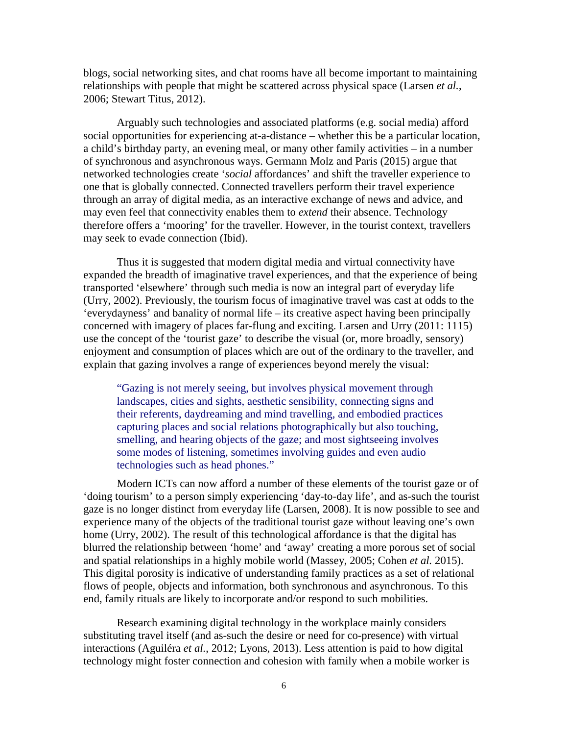blogs, social networking sites, and chat rooms have all become important to maintaining relationships with people that might be scattered across physical space (Larsen *et al.*, 2006; Stewart Titus, 2012).

Arguably such technologies and associated platforms (e.g. social media) afford social opportunities for experiencing at-a-distance – whether this be a particular location, a child's birthday party, an evening meal, or many other family activities – in a number of synchronous and asynchronous ways. Germann Molz and Paris (2015) argue that networked technologies create '*social* affordances' and shift the traveller experience to one that is globally connected. Connected travellers perform their travel experience through an array of digital media, as an interactive exchange of news and advice, and may even feel that connectivity enables them to *extend* their absence. Technology therefore offers a 'mooring' for the traveller. However, in the tourist context, travellers may seek to evade connection (Ibid).

Thus it is suggested that modern digital media and virtual connectivity have expanded the breadth of imaginative travel experiences, and that the experience of being transported 'elsewhere' through such media is now an integral part of everyday life (Urry, 2002). Previously, the tourism focus of imaginative travel was cast at odds to the 'everydayness' and banality of normal life – its creative aspect having been principally concerned with imagery of places far-flung and exciting. Larsen and Urry (2011: 1115) use the concept of the 'tourist gaze' to describe the visual (or, more broadly, sensory) enjoyment and consumption of places which are out of the ordinary to the traveller, and explain that gazing involves a range of experiences beyond merely the visual:

"Gazing is not merely seeing, but involves physical movement through landscapes, cities and sights, aesthetic sensibility, connecting signs and their referents, daydreaming and mind travelling, and embodied practices capturing places and social relations photographically but also touching, smelling, and hearing objects of the gaze; and most sightseeing involves some modes of listening, sometimes involving guides and even audio technologies such as head phones."

Modern ICTs can now afford a number of these elements of the tourist gaze or of 'doing tourism' to a person simply experiencing 'day-to-day life', and as-such the tourist gaze is no longer distinct from everyday life (Larsen, 2008). It is now possible to see and experience many of the objects of the traditional tourist gaze without leaving one's own home (Urry, 2002). The result of this technological affordance is that the digital has blurred the relationship between 'home' and 'away' creating a more porous set of social and spatial relationships in a highly mobile world (Massey, 2005; Cohen *et al.* 2015). This digital porosity is indicative of understanding family practices as a set of relational flows of people, objects and information, both synchronous and asynchronous. To this end, family rituals are likely to incorporate and/or respond to such mobilities.

Research examining digital technology in the workplace mainly considers substituting travel itself (and as-such the desire or need for co-presence) with virtual interactions (Aguiléra *et al.*, 2012; Lyons, 2013). Less attention is paid to how digital technology might foster connection and cohesion with family when a mobile worker is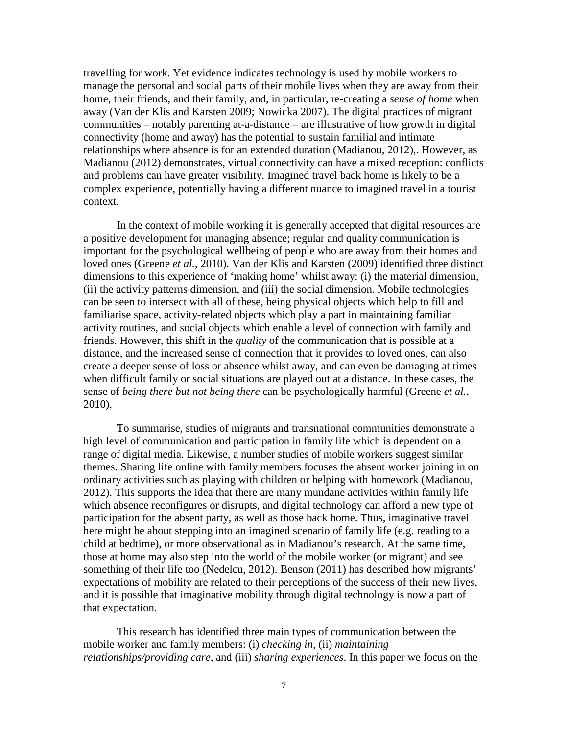<span id="page-6-0"></span>travelling for work. Yet evidence indicates technology is used by mobile workers to manage the personal and social parts of their mobile lives when they are away from their home, their friends, and their family, and, in particular, re-creating a *sense of home* when away (Van der Klis and Karsten 2009; Nowicka 2007). The digital practices of migrant communities – notably parenting at-a-distance – are illustrative of how growth in digital connectivity (home and away) has the potential to sustain familial and intimate relationships where absence is for an extended duration (Madianou, 2012),. However, as Madianou (2012) demonstrates, virtual connectivity can have a mixed reception: conflicts and problems can have greater visibility. Imagined travel back home is likely to be a complex experience, potentially having a different nuance to imagined travel in a tourist context.

In the context of mobile working it is generally accepted that digital resources are a positive development for managing absence; regular and quality communication is important for the psychological wellbeing of people who are away from their homes and loved ones (Greene *et al.*, 2010). Van der Klis and Karsten (2009) identified three distinct dimensions to this experience of 'making home' whilst away: (i) the material dimension, (ii) the activity patterns dimension, and (iii) the social dimension. Mobile technologies can be seen to intersect with all of these, being physical objects which help to fill and familiarise space, activity-related objects which play a part in maintaining familiar activity routines, and social objects which enable a level of connection with family and friends. However, this shift in the *quality* of the communication that is possible at a distance, and the increased sense of connection that it provides to loved ones, can also create a deeper sense of loss or absence whilst away, and can even be damaging at times when difficult family or social situations are played out at a distance. In these cases, the sense of *being there but not being there* can be psychologically harmful (Greene *et al.*, 2010).

To summarise, studies of migrants and transnational communities demonstrate a high level of communication and participation in family life which is dependent on a range of digital media. Likewise, a number studies of mobile workers suggest similar themes. Sharing life online with family members focuses the absent worker joining in on ordinary activities such as playing with children or helping with homework (Madianou, 2012). This supports the idea that there are many mundane activities within family life which absence reconfigures or disrupts, and digital technology can afford a new type of participation for the absent party, as well as those back home. Thus, imaginative travel here might be about stepping into an imagined scenario of family life (e.g. reading to a child at bedtime), or more observational as in Madianou's research. At the same time, those at home may also step into the world of the mobile worker (or migrant) and see something of their life too (Nedelcu, 2012). Benson (2011) has described how migrants' expectations of mobility are related to their perceptions of the success of their new lives, and it is possible that imaginative mobility through digital technology is now a part of that expectation.

This research has identified three main types of communication between the mobile worker and family members: (i) *checking in*, (ii) *maintaining relationships/providing care*, and (iii) *sharing experiences*. In this paper we focus on the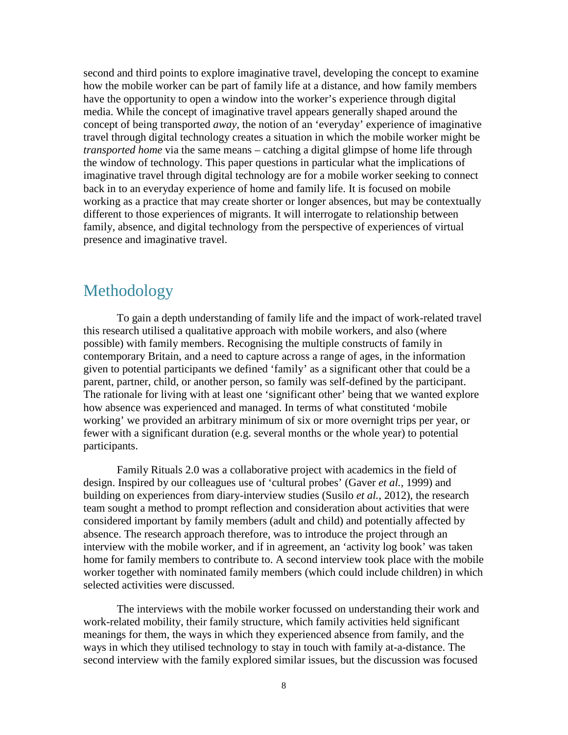<span id="page-7-0"></span>second and third points to explore imaginative travel, developing the concept to examine how the mobile worker can be part of family life at a distance, and how family members have the opportunity to open a window into the worker's experience through digital media. While the concept of imaginative travel appears generally shaped around the concept of being transported *away,* the notion of an 'everyday' experience of imaginative travel through digital technology creates a situation in which the mobile worker might be *transported home* via the same means – catching a digital glimpse of home life through the window of technology. This paper questions in particular what the implications of imaginative travel through digital technology are for a mobile worker seeking to connect back in to an everyday experience of home and family life. It is focused on mobile working as a practice that may create shorter or longer absences, but may be contextually different to those experiences of migrants. It will interrogate to relationship between family, absence, and digital technology from the perspective of experiences of virtual presence and imaginative travel.

## Methodology

To gain a depth understanding of family life and the impact of work-related travel this research utilised a qualitative approach with mobile workers, and also (where possible) with family members. Recognising the multiple constructs of family in contemporary Britain, and a need to capture across a range of ages, in the information given to potential participants we defined 'family' as a significant other that could be a parent, partner, child, or another person, so family was self-defined by the participant. The rationale for living with at least one 'significant other' being that we wanted explore how absence was experienced and managed. In terms of what constituted 'mobile working' we provided an arbitrary minimum of six or more overnight trips per year, or fewer with a significant duration (e.g. several months or the whole year) to potential participants.

Family Rituals 2.0 was a collaborative project with academics in the field of design. Inspired by our colleagues use of 'cultural probes' (Gaver *et al.*, 1999) and building on experiences from diary-interview studies (Susilo *et al.*, 2012), the research team sought a method to prompt reflection and consideration about activities that were considered important by family members (adult and child) and potentially affected by absence. The research approach therefore, was to introduce the project through an interview with the mobile worker, and if in agreement, an 'activity log book' was taken home for family members to contribute to. A second interview took place with the mobile worker together with nominated family members (which could include children) in which selected activities were discussed.

The interviews with the mobile worker focussed on understanding their work and work-related mobility, their family structure, which family activities held significant meanings for them, the ways in which they experienced absence from family, and the ways in which they utilised technology to stay in touch with family at-a-distance. The second interview with the family explored similar issues, but the discussion was focused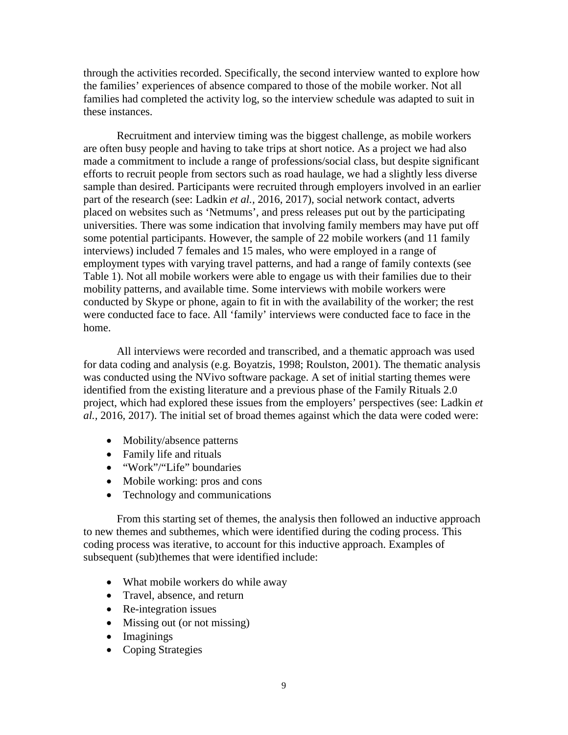through the activities recorded. Specifically, the second interview wanted to explore how the families' experiences of absence compared to those of the mobile worker. Not all families had completed the activity log, so the interview schedule was adapted to suit in these instances.

<span id="page-8-2"></span><span id="page-8-1"></span><span id="page-8-0"></span>Recruitment and interview timing was the biggest challenge, as mobile workers are often busy people and having to take trips at short notice. As a project we had also made a commitment to include a range of professions/social class, but despite significant efforts to recruit people from sectors such as road haulage, we had a slightly less diverse sample than desired. Participants were recruited through employers involved in an earlier part of the research (see: Ladkin *et al.,* 2016, 2017), social network contact, adverts placed on websites such as 'Netmums', and press releases put out by the participating universities. There was some indication that involving family members may have put off some potential participants. However, the sample of 22 mobile workers (and 11 family interviews) included 7 females and 15 males, who were employed in a range of employment types with varying travel patterns, and had a range of family contexts (see Table 1). Not all mobile workers were able to engage us with their families due to their mobility patterns, and available time. Some interviews with mobile workers were conducted by Skype or phone, again to fit in with the availability of the worker; the rest were conducted face to face. All 'family' interviews were conducted face to face in the home.

All interviews were recorded and transcribed, and a thematic approach was used for data coding and analysis (e.g. Boyatzis, 1998; Roulston, 2001). The thematic analysis was conducted using the NVivo software package. A set of initial starting themes were identified from the existing literature and a previous phase of the Family Rituals 2.0 project, which had explored these issues from the employers' perspectives (see: Ladkin *et al.,* 2016, 2017). The initial set of broad themes against which the data were coded were:

- Mobility/absence patterns
- Family life and rituals
- "Work"/"Life" boundaries
- Mobile working: pros and cons
- Technology and communications

From this starting set of themes, the analysis then followed an inductive approach to new themes and subthemes, which were identified during the coding process. This coding process was iterative, to account for this inductive approach. Examples of subsequent (sub)themes that were identified include:

- What mobile workers do while away
- Travel, absence, and return
- Re-integration issues
- Missing out (or not missing)
- Imaginings
- Coping Strategies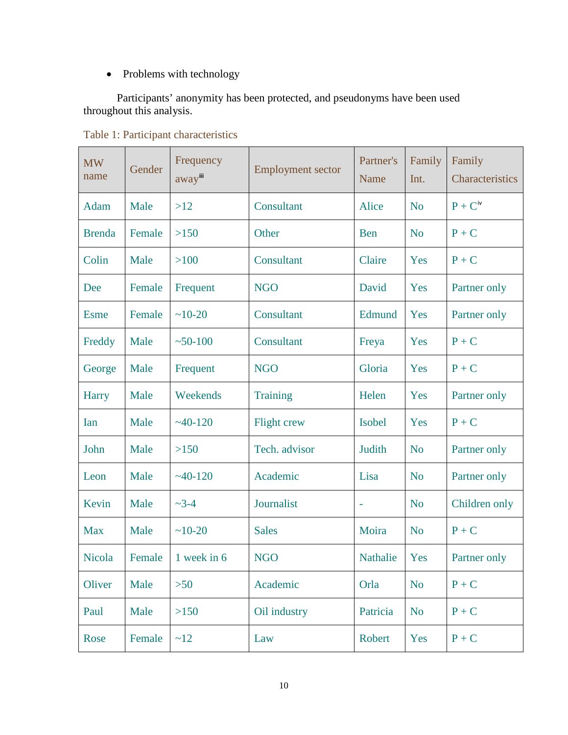• Problems with technology

Participants' anonymity has been protected, and pseudonyms have been used throughout this analysis.

<span id="page-9-0"></span>

| <b>MW</b><br>name | Gender | Frequency<br>away" | <b>Employment sector</b> | Partner's<br>Name        | Family<br>Int. | Family<br>Characteristics |
|-------------------|--------|--------------------|--------------------------|--------------------------|----------------|---------------------------|
| Adam              | Male   | $>12$              | Consultant               | Alice                    | N <sub>o</sub> | $P + C^{iv}$              |
| <b>Brenda</b>     | Female | >150               | Other                    | <b>Ben</b>               | N <sub>o</sub> | $P + C$                   |
| Colin             | Male   | $>100$             | Consultant               | Claire                   | Yes            | $P + C$                   |
| Dee               | Female | Frequent           | <b>NGO</b>               | David                    | Yes            | Partner only              |
| <b>Esme</b>       | Female | $~10-20$           | Consultant               | Edmund                   | Yes            | Partner only              |
| Freddy            | Male   | ~100               | Consultant               | Freya                    | Yes            | $P + C$                   |
| George            | Male   | Frequent           | <b>NGO</b>               | Gloria                   | Yes            | $P + C$                   |
| <b>Harry</b>      | Male   | Weekends           | <b>Training</b>          | Helen                    | Yes            | Partner only              |
| Ian               | Male   | ~120               | Flight crew              | Isobel                   | Yes            | $P + C$                   |
| John              | Male   | >150               | Tech. advisor            | Judith                   | N <sub>o</sub> | Partner only              |
| Leon              | Male   | $-40-120$          | Academic                 | Lisa                     | N <sub>o</sub> | Partner only              |
| Kevin             | Male   | $~23-4$            | Journalist               | $\overline{\phantom{a}}$ | N <sub>o</sub> | Children only             |
| <b>Max</b>        | Male   | $~10-20$           | <b>Sales</b>             | Moira                    | N <sub>o</sub> | $P + C$                   |
| <b>Nicola</b>     | Female | 1 week in 6        | <b>NGO</b>               | Nathalie                 | Yes            | Partner only              |
| Oliver            | Male   | $>50$              | Academic                 | Orla                     | N <sub>o</sub> | $P + C$                   |
| Paul              | Male   | >150               | Oil industry             | Patricia                 | N <sub>o</sub> | $P + C$                   |
| Rose              | Female | ~12                | Law                      | Robert                   | Yes            | $P + C$                   |

Table 1: Participant characteristics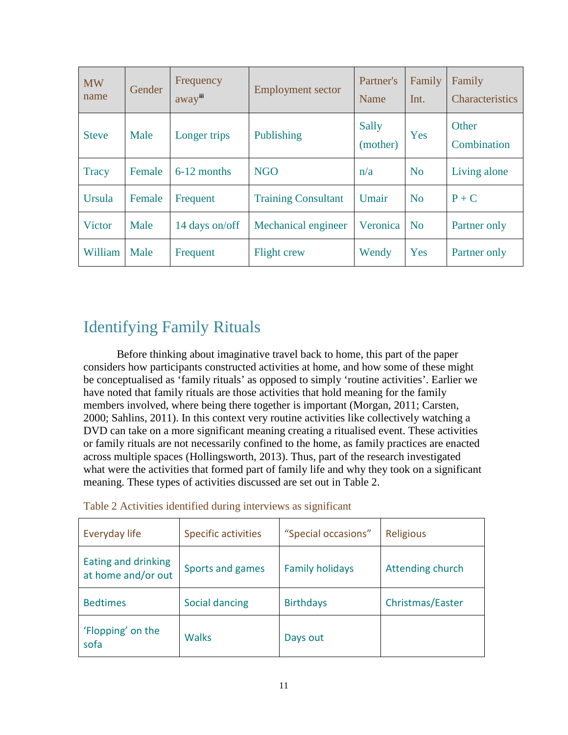| <b>MW</b><br>name | Gender | Frequency<br>away" | <b>Employment sector</b>   | Partner's<br>Name | Family<br>Int. | Family<br><b>Characteristics</b> |
|-------------------|--------|--------------------|----------------------------|-------------------|----------------|----------------------------------|
| <b>Steve</b>      | Male   | Longer trips       | Publishing                 | Sally<br>(mother) | Yes            | Other<br>Combination             |
| <b>Tracy</b>      | Female | 6-12 months        | <b>NGO</b>                 | n/a               | N <sub>o</sub> | Living alone                     |
| <b>Ursula</b>     | Female | Frequent           | <b>Training Consultant</b> | Umair             | N <sub>o</sub> | $P + C$                          |
| <b>Victor</b>     | Male   | 14 days on/off     | Mechanical engineer        | Veronica          | N <sub>o</sub> | Partner only                     |
| William           | Male   | Frequent           | Flight crew                | Wendy             | Yes            | Partner only                     |

# Identifying Family Rituals

Before thinking about imaginative travel back to home, this part of the paper considers how participants constructed activities at home, and how some of these might be conceptualised as 'family rituals' as opposed to simply 'routine activities'. Earlier we have noted that family rituals are those activities that hold meaning for the family members involved, where being there together is important (Morgan, 2011; Carsten, 2000; Sahlins, 2011). In this context very routine activities like collectively watching a DVD can take on a more significant meaning creating a ritualised event. These activities or family rituals are not necessarily confined to the home, as family practices are enacted across multiple spaces (Hollingsworth, 2013). Thus, part of the research investigated what were the activities that formed part of family life and why they took on a significant meaning. These types of activities discussed are set out in Table 2.

| Table 2 Activities identified during interviews as significant |  |  |  |
|----------------------------------------------------------------|--|--|--|
|                                                                |  |  |  |

| Everyday life                             | Specific activities | "Special occasions"    | Religious               |
|-------------------------------------------|---------------------|------------------------|-------------------------|
| Eating and drinking<br>at home and/or out | Sports and games    | <b>Family holidays</b> | <b>Attending church</b> |
| <b>Bedtimes</b>                           | Social dancing      | <b>Birthdays</b>       | Christmas/Easter        |
| 'Flopping' on the<br>sofa                 | <b>Walks</b>        | Days out               |                         |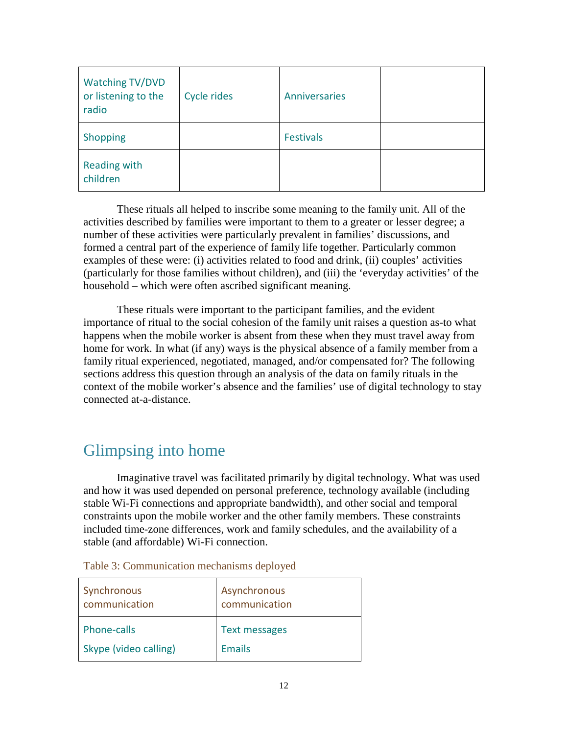| <b>Watching TV/DVD</b><br>or listening to the<br>radio | Cycle rides | Anniversaries    |  |
|--------------------------------------------------------|-------------|------------------|--|
| Shopping                                               |             | <b>Festivals</b> |  |
| <b>Reading with</b><br>children                        |             |                  |  |

These rituals all helped to inscribe some meaning to the family unit. All of the activities described by families were important to them to a greater or lesser degree; a number of these activities were particularly prevalent in families' discussions, and formed a central part of the experience of family life together. Particularly common examples of these were: (i) activities related to food and drink, (ii) couples' activities (particularly for those families without children), and (iii) the 'everyday activities' of the household – which were often ascribed significant meaning.

These rituals were important to the participant families, and the evident importance of ritual to the social cohesion of the family unit raises a question as-to what happens when the mobile worker is absent from these when they must travel away from home for work. In what (if any) ways is the physical absence of a family member from a family ritual experienced, negotiated, managed, and/or compensated for? The following sections address this question through an analysis of the data on family rituals in the context of the mobile worker's absence and the families' use of digital technology to stay connected at-a-distance.

# Glimpsing into home

Imaginative travel was facilitated primarily by digital technology. What was used and how it was used depended on personal preference, technology available (including stable Wi-Fi connections and appropriate bandwidth), and other social and temporal constraints upon the mobile worker and the other family members. These constraints included time-zone differences, work and family schedules, and the availability of a stable (and affordable) Wi-Fi connection.

| Synchronous<br>communication | Asynchronous<br>communication |
|------------------------------|-------------------------------|
| Phone-calls                  | Text messages                 |
| Skype (video calling)        | <b>Emails</b>                 |

Table 3: Communication mechanisms deployed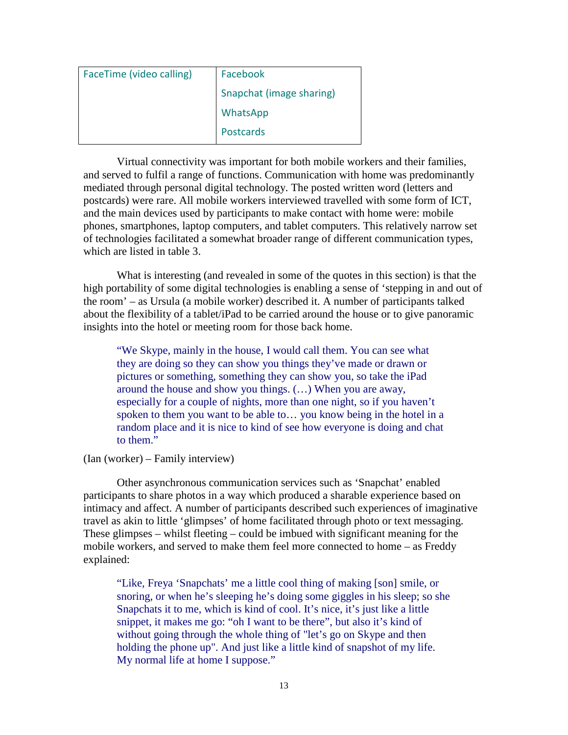| FaceTime (video calling) | Facebook                 |
|--------------------------|--------------------------|
|                          | Snapchat (image sharing) |
|                          | WhatsApp                 |
|                          | Postcards                |

Virtual connectivity was important for both mobile workers and their families, and served to fulfil a range of functions. Communication with home was predominantly mediated through personal digital technology. The posted written word (letters and postcards) were rare. All mobile workers interviewed travelled with some form of ICT, and the main devices used by participants to make contact with home were: mobile phones, smartphones, laptop computers, and tablet computers. This relatively narrow set of technologies facilitated a somewhat broader range of different communication types, which are listed in table 3.

What is interesting (and revealed in some of the quotes in this section) is that the high portability of some digital technologies is enabling a sense of 'stepping in and out of the room' – as Ursula (a mobile worker) described it. A number of participants talked about the flexibility of a tablet/iPad to be carried around the house or to give panoramic insights into the hotel or meeting room for those back home.

"We Skype, mainly in the house, I would call them. You can see what they are doing so they can show you things they've made or drawn or pictures or something, something they can show you, so take the iPad around the house and show you things. (…) When you are away, especially for a couple of nights, more than one night, so if you haven't spoken to them you want to be able to… you know being in the hotel in a random place and it is nice to kind of see how everyone is doing and chat to them."

(Ian (worker) – Family interview)

Other asynchronous communication services such as 'Snapchat' enabled participants to share photos in a way which produced a sharable experience based on intimacy and affect. A number of participants described such experiences of imaginative travel as akin to little 'glimpses' of home facilitated through photo or text messaging. These glimpses – whilst fleeting – could be imbued with significant meaning for the mobile workers, and served to make them feel more connected to home – as Freddy explained:

"Like, Freya 'Snapchats' me a little cool thing of making [son] smile, or snoring, or when he's sleeping he's doing some giggles in his sleep; so she Snapchats it to me, which is kind of cool. It's nice, it's just like a little snippet, it makes me go: "oh I want to be there", but also it's kind of without going through the whole thing of "let's go on Skype and then holding the phone up". And just like a little kind of snapshot of my life. My normal life at home I suppose."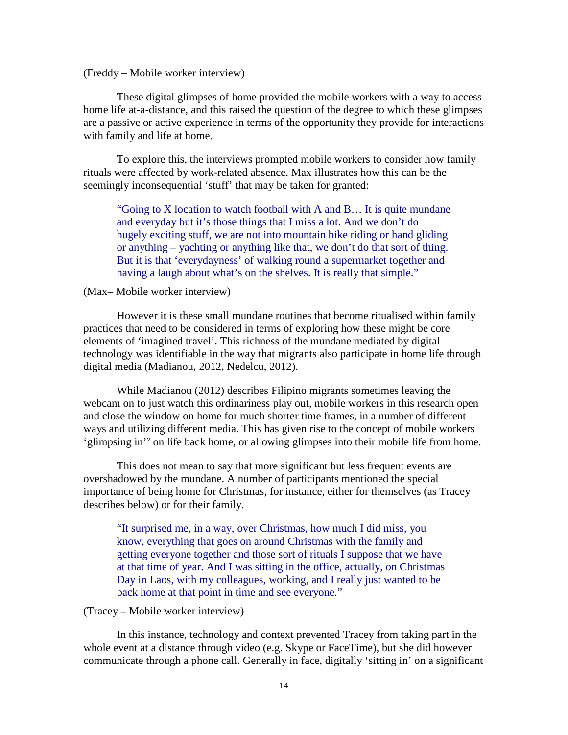(Freddy – Mobile worker interview)

These digital glimpses of home provided the mobile workers with a way to access home life at-a-distance, and this raised the question of the degree to which these glimpses are a passive or active experience in terms of the opportunity they provide for interactions with family and life at home.

To explore this, the interviews prompted mobile workers to consider how family rituals were affected by work-related absence. Max illustrates how this can be the seemingly inconsequential 'stuff' that may be taken for granted:

"Going to X location to watch football with A and B… It is quite mundane and everyday but it's those things that I miss a lot. And we don't do hugely exciting stuff, we are not into mountain bike riding or hand gliding or anything – yachting or anything like that, we don't do that sort of thing. But it is that 'everydayness' of walking round a supermarket together and having a laugh about what's on the shelves. It is really that simple."

#### (Max– Mobile worker interview)

However it is these small mundane routines that become ritualised within family practices that need to be considered in terms of exploring how these might be core elements of 'imagined travel'. This richness of the mundane mediated by digital technology was identifiable in the way that migrants also participate in home life through digital media (Madianou, 2012, Nedelcu, 2012).

While Madianou (2012) describes Filipino migrants sometimes leaving the webcam on to just watch this ordinariness play out, mobile workers in this research open and close the window on home for much shorter time frames, in a number of different ways and utilizing different media. This has given rise to the concept of mobile workers 'glimpsing in'[v](#page-8-2) on life back home, or allowing glimpses into their mobile life from home.

This does not mean to say that more significant but less frequent events are overshadowed by the mundane. A number of participants mentioned the special importance of being home for Christmas, for instance, either for themselves (as Tracey describes below) or for their family.

"It surprised me, in a way, over Christmas, how much I did miss, you know, everything that goes on around Christmas with the family and getting everyone together and those sort of rituals I suppose that we have at that time of year. And I was sitting in the office, actually, on Christmas Day in Laos, with my colleagues, working, and I really just wanted to be back home at that point in time and see everyone."

#### (Tracey – Mobile worker interview)

In this instance, technology and context prevented Tracey from taking part in the whole event at a distance through video (e.g. Skype or FaceTime), but she did however communicate through a phone call. Generally in face, digitally 'sitting in' on a significant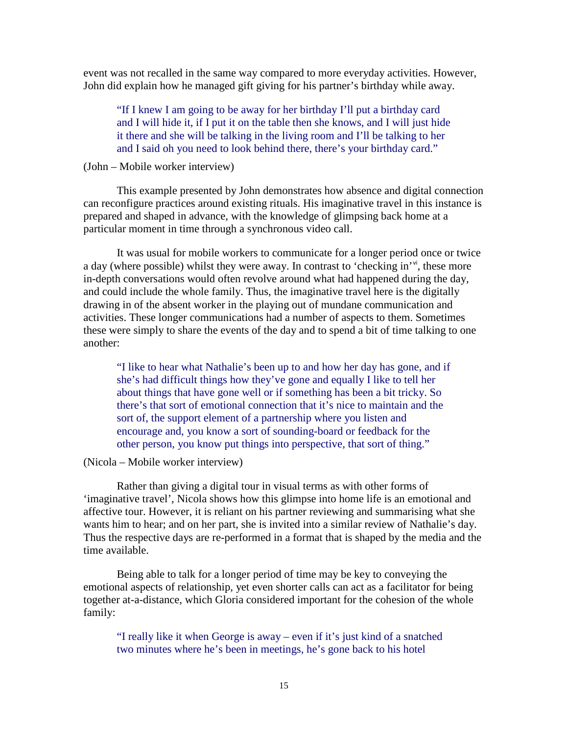event was not recalled in the same way compared to more everyday activities. However, John did explain how he managed gift giving for his partner's birthday while away.

"If I knew I am going to be away for her birthday I'll put a birthday card and I will hide it, if I put it on the table then she knows, and I will just hide it there and she will be talking in the living room and I'll be talking to her and I said oh you need to look behind there, there's your birthday card."

#### (John – Mobile worker interview)

This example presented by John demonstrates how absence and digital connection can reconfigure practices around existing rituals. His imaginative travel in this instance is prepared and shaped in advance, with the knowledge of glimpsing back home at a particular moment in time through a synchronous video call.

It was usual for mobile workers to communicate for a longer period once or twice a day (where possible) whilst they were away. In contrast to 'checking in'<sup>[vi](#page-9-0)</sup>, these more in-depth conversations would often revolve around what had happened during the day, and could include the whole family. Thus, the imaginative travel here is the digitally drawing in of the absent worker in the playing out of mundane communication and activities. These longer communications had a number of aspects to them. Sometimes these were simply to share the events of the day and to spend a bit of time talking to one another:

"I like to hear what Nathalie's been up to and how her day has gone, and if she's had difficult things how they've gone and equally I like to tell her about things that have gone well or if something has been a bit tricky. So there's that sort of emotional connection that it's nice to maintain and the sort of, the support element of a partnership where you listen and encourage and, you know a sort of sounding-board or feedback for the other person, you know put things into perspective, that sort of thing."

(Nicola – Mobile worker interview)

Rather than giving a digital tour in visual terms as with other forms of 'imaginative travel', Nicola shows how this glimpse into home life is an emotional and affective tour. However, it is reliant on his partner reviewing and summarising what she wants him to hear; and on her part, she is invited into a similar review of Nathalie's day. Thus the respective days are re-performed in a format that is shaped by the media and the time available.

Being able to talk for a longer period of time may be key to conveying the emotional aspects of relationship, yet even shorter calls can act as a facilitator for being together at-a-distance, which Gloria considered important for the cohesion of the whole family:

"I really like it when George is away – even if it's just kind of a snatched two minutes where he's been in meetings, he's gone back to his hotel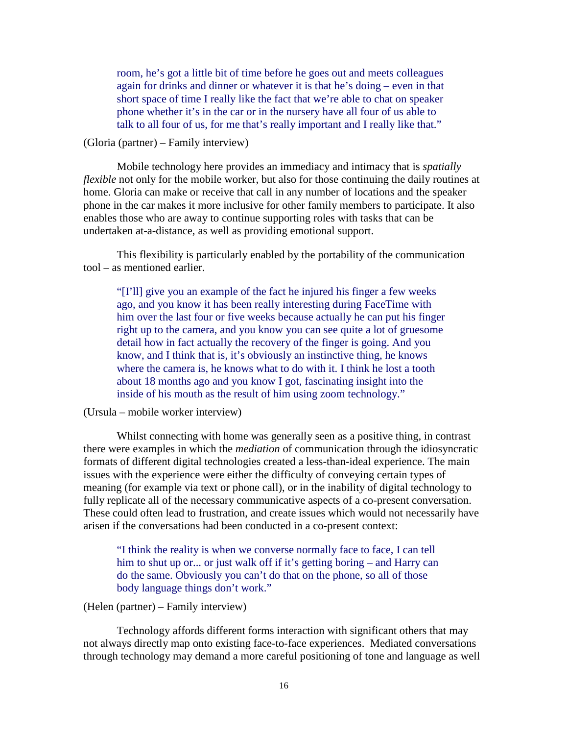room, he's got a little bit of time before he goes out and meets colleagues again for drinks and dinner or whatever it is that he's doing – even in that short space of time I really like the fact that we're able to chat on speaker phone whether it's in the car or in the nursery have all four of us able to talk to all four of us, for me that's really important and I really like that."

(Gloria (partner) – Family interview)

Mobile technology here provides an immediacy and intimacy that is *spatially flexible* not only for the mobile worker, but also for those continuing the daily routines at home. Gloria can make or receive that call in any number of locations and the speaker phone in the car makes it more inclusive for other family members to participate. It also enables those who are away to continue supporting roles with tasks that can be undertaken at-a-distance, as well as providing emotional support.

This flexibility is particularly enabled by the portability of the communication tool – as mentioned earlier.

"[I'll] give you an example of the fact he injured his finger a few weeks ago, and you know it has been really interesting during FaceTime with him over the last four or five weeks because actually he can put his finger right up to the camera, and you know you can see quite a lot of gruesome detail how in fact actually the recovery of the finger is going. And you know, and I think that is, it's obviously an instinctive thing, he knows where the camera is, he knows what to do with it. I think he lost a tooth about 18 months ago and you know I got, fascinating insight into the inside of his mouth as the result of him using zoom technology."

(Ursula – mobile worker interview)

Whilst connecting with home was generally seen as a positive thing, in contrast there were examples in which the *mediation* of communication through the idiosyncratic formats of different digital technologies created a less-than-ideal experience. The main issues with the experience were either the difficulty of conveying certain types of meaning (for example via text or phone call), or in the inability of digital technology to fully replicate all of the necessary communicative aspects of a co-present conversation. These could often lead to frustration, and create issues which would not necessarily have arisen if the conversations had been conducted in a co-present context:

"I think the reality is when we converse normally face to face, I can tell him to shut up or... or just walk off if it's getting boring – and Harry can do the same. Obviously you can't do that on the phone, so all of those body language things don't work."

(Helen (partner) – Family interview)

Technology affords different forms interaction with significant others that may not always directly map onto existing face-to-face experiences. Mediated conversations through technology may demand a more careful positioning of tone and language as well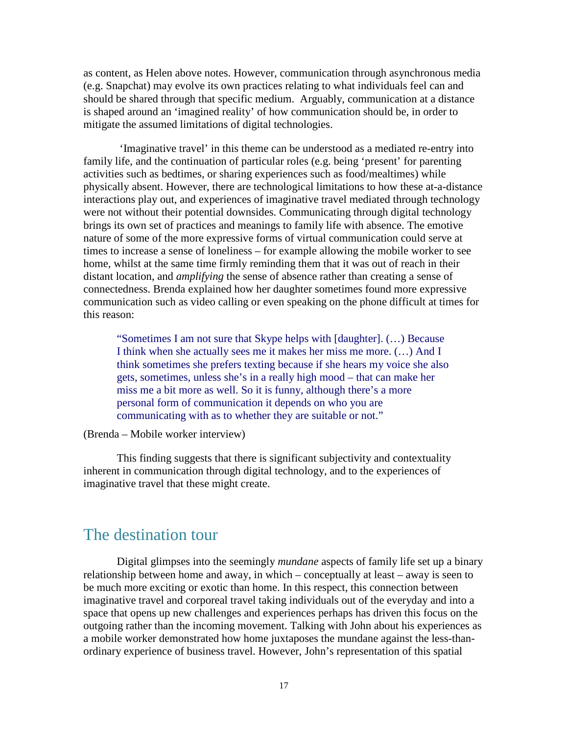as content, as Helen above notes. However, communication through asynchronous media (e.g. Snapchat) may evolve its own practices relating to what individuals feel can and should be shared through that specific medium. Arguably, communication at a distance is shaped around an 'imagined reality' of how communication should be, in order to mitigate the assumed limitations of digital technologies.

'Imaginative travel' in this theme can be understood as a mediated re-entry into family life, and the continuation of particular roles (e.g. being 'present' for parenting activities such as bedtimes, or sharing experiences such as food/mealtimes) while physically absent. However, there are technological limitations to how these at-a-distance interactions play out, and experiences of imaginative travel mediated through technology were not without their potential downsides. Communicating through digital technology brings its own set of practices and meanings to family life with absence. The emotive nature of some of the more expressive forms of virtual communication could serve at times to increase a sense of loneliness – for example allowing the mobile worker to see home, whilst at the same time firmly reminding them that it was out of reach in their distant location, and *amplifying* the sense of absence rather than creating a sense of connectedness. Brenda explained how her daughter sometimes found more expressive communication such as video calling or even speaking on the phone difficult at times for this reason:

"Sometimes I am not sure that Skype helps with [daughter]. (…) Because I think when she actually sees me it makes her miss me more. (…) And I think sometimes she prefers texting because if she hears my voice she also gets, sometimes, unless she's in a really high mood – that can make her miss me a bit more as well. So it is funny, although there's a more personal form of communication it depends on who you are communicating with as to whether they are suitable or not."

(Brenda – Mobile worker interview)

This finding suggests that there is significant subjectivity and contextuality inherent in communication through digital technology, and to the experiences of imaginative travel that these might create.

### The destination tour

Digital glimpses into the seemingly *mundane* aspects of family life set up a binary relationship between home and away, in which – conceptually at least – away is seen to be much more exciting or exotic than home. In this respect, this connection between imaginative travel and corporeal travel taking individuals out of the everyday and into a space that opens up new challenges and experiences perhaps has driven this focus on the outgoing rather than the incoming movement. Talking with John about his experiences as a mobile worker demonstrated how home juxtaposes the mundane against the less-thanordinary experience of business travel. However, John's representation of this spatial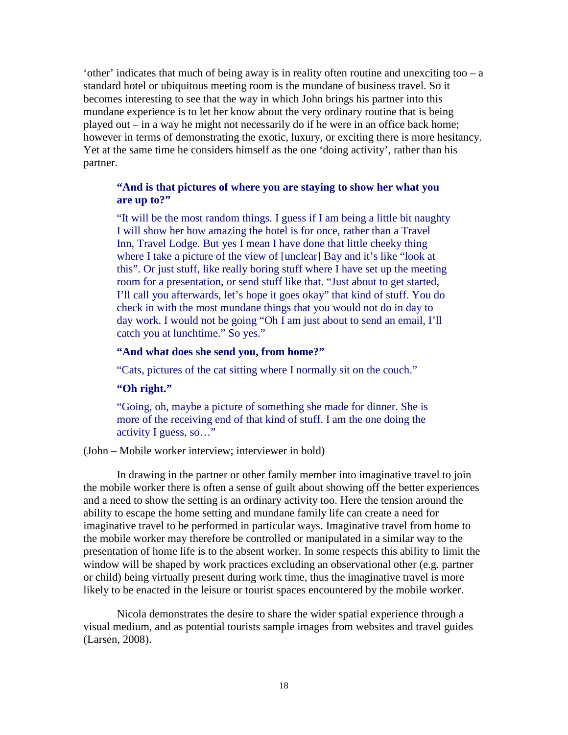'other' indicates that much of being away is in reality often routine and unexciting too  $-a$ standard hotel or ubiquitous meeting room is the mundane of business travel. So it becomes interesting to see that the way in which John brings his partner into this mundane experience is to let her know about the very ordinary routine that is being played out – in a way he might not necessarily do if he were in an office back home; however in terms of demonstrating the exotic, luxury, or exciting there is more hesitancy. Yet at the same time he considers himself as the one 'doing activity', rather than his partner.

#### **"And is that pictures of where you are staying to show her what you are up to?"**

"It will be the most random things. I guess if I am being a little bit naughty I will show her how amazing the hotel is for once, rather than a Travel Inn, Travel Lodge. But yes I mean I have done that little cheeky thing where I take a picture of the view of [unclear] Bay and it's like "look at this". Or just stuff, like really boring stuff where I have set up the meeting room for a presentation, or send stuff like that. "Just about to get started, I'll call you afterwards, let's hope it goes okay" that kind of stuff. You do check in with the most mundane things that you would not do in day to day work. I would not be going "Oh I am just about to send an email, I'll catch you at lunchtime." So yes."

#### **"And what does she send you, from home?"**

"Cats, pictures of the cat sitting where I normally sit on the couch."

#### **"Oh right."**

"Going, oh, maybe a picture of something she made for dinner. She is more of the receiving end of that kind of stuff. I am the one doing the activity I guess, so…"

#### (John – Mobile worker interview; interviewer in bold)

In drawing in the partner or other family member into imaginative travel to join the mobile worker there is often a sense of guilt about showing off the better experiences and a need to show the setting is an ordinary activity too. Here the tension around the ability to escape the home setting and mundane family life can create a need for imaginative travel to be performed in particular ways. Imaginative travel from home to the mobile worker may therefore be controlled or manipulated in a similar way to the presentation of home life is to the absent worker. In some respects this ability to limit the window will be shaped by work practices excluding an observational other (e.g. partner or child) being virtually present during work time, thus the imaginative travel is more likely to be enacted in the leisure or tourist spaces encountered by the mobile worker.

Nicola demonstrates the desire to share the wider spatial experience through a visual medium, and as potential tourists sample images from websites and travel guides (Larsen, 2008).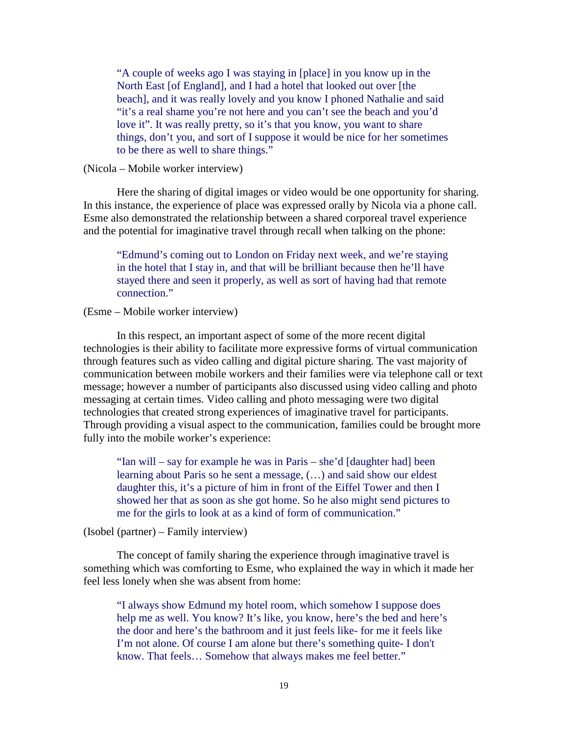"A couple of weeks ago I was staying in [place] in you know up in the North East [of England], and I had a hotel that looked out over [the beach], and it was really lovely and you know I phoned Nathalie and said "it's a real shame you're not here and you can't see the beach and you'd love it". It was really pretty, so it's that you know, you want to share things, don't you, and sort of I suppose it would be nice for her sometimes to be there as well to share things."

(Nicola – Mobile worker interview)

Here the sharing of digital images or video would be one opportunity for sharing. In this instance, the experience of place was expressed orally by Nicola via a phone call. Esme also demonstrated the relationship between a shared corporeal travel experience and the potential for imaginative travel through recall when talking on the phone:

"Edmund's coming out to London on Friday next week, and we're staying in the hotel that I stay in, and that will be brilliant because then he'll have stayed there and seen it properly, as well as sort of having had that remote connection."

(Esme – Mobile worker interview)

In this respect, an important aspect of some of the more recent digital technologies is their ability to facilitate more expressive forms of virtual communication through features such as video calling and digital picture sharing. The vast majority of communication between mobile workers and their families were via telephone call or text message; however a number of participants also discussed using video calling and photo messaging at certain times. Video calling and photo messaging were two digital technologies that created strong experiences of imaginative travel for participants. Through providing a visual aspect to the communication, families could be brought more fully into the mobile worker's experience:

"Ian will – say for example he was in Paris – she'd [daughter had] been learning about Paris so he sent a message, (…) and said show our eldest daughter this, it's a picture of him in front of the Eiffel Tower and then I showed her that as soon as she got home. So he also might send pictures to me for the girls to look at as a kind of form of communication."

(Isobel (partner) – Family interview)

The concept of family sharing the experience through imaginative travel is something which was comforting to Esme, who explained the way in which it made her feel less lonely when she was absent from home:

"I always show Edmund my hotel room, which somehow I suppose does help me as well. You know? It's like, you know, here's the bed and here's the door and here's the bathroom and it just feels like- for me it feels like I'm not alone. Of course I am alone but there's something quite- I don't know. That feels… Somehow that always makes me feel better."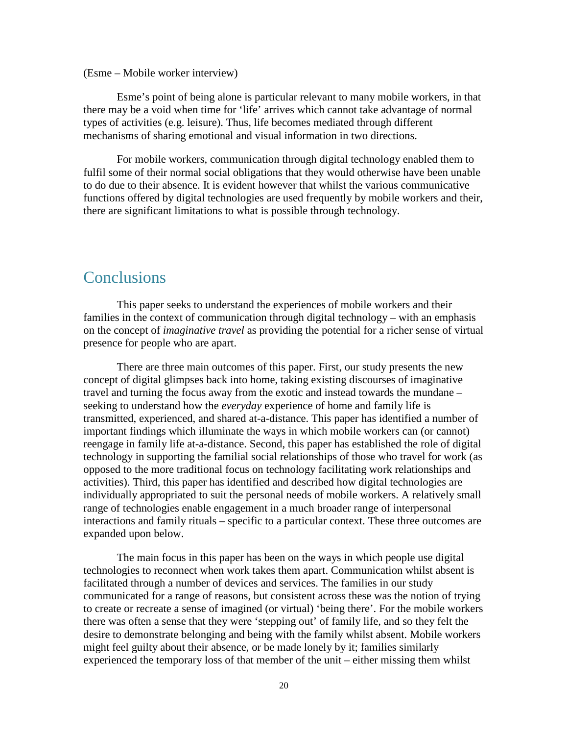#### (Esme – Mobile worker interview)

Esme's point of being alone is particular relevant to many mobile workers, in that there may be a void when time for 'life' arrives which cannot take advantage of normal types of activities (e.g. leisure). Thus, life becomes mediated through different mechanisms of sharing emotional and visual information in two directions.

For mobile workers, communication through digital technology enabled them to fulfil some of their normal social obligations that they would otherwise have been unable to do due to their absence. It is evident however that whilst the various communicative functions offered by digital technologies are used frequently by mobile workers and their, there are significant limitations to what is possible through technology.

# **Conclusions**

This paper seeks to understand the experiences of mobile workers and their families in the context of communication through digital technology – with an emphasis on the concept of *imaginative travel* as providing the potential for a richer sense of virtual presence for people who are apart.

There are three main outcomes of this paper. First, our study presents the new concept of digital glimpses back into home, taking existing discourses of imaginative travel and turning the focus away from the exotic and instead towards the mundane – seeking to understand how the *everyday* experience of home and family life is transmitted, experienced, and shared at-a-distance. This paper has identified a number of important findings which illuminate the ways in which mobile workers can (or cannot) reengage in family life at-a-distance. Second, this paper has established the role of digital technology in supporting the familial social relationships of those who travel for work (as opposed to the more traditional focus on technology facilitating work relationships and activities). Third, this paper has identified and described how digital technologies are individually appropriated to suit the personal needs of mobile workers. A relatively small range of technologies enable engagement in a much broader range of interpersonal interactions and family rituals – specific to a particular context. These three outcomes are expanded upon below.

The main focus in this paper has been on the ways in which people use digital technologies to reconnect when work takes them apart. Communication whilst absent is facilitated through a number of devices and services. The families in our study communicated for a range of reasons, but consistent across these was the notion of trying to create or recreate a sense of imagined (or virtual) 'being there'. For the mobile workers there was often a sense that they were 'stepping out' of family life, and so they felt the desire to demonstrate belonging and being with the family whilst absent. Mobile workers might feel guilty about their absence, or be made lonely by it; families similarly experienced the temporary loss of that member of the unit – either missing them whilst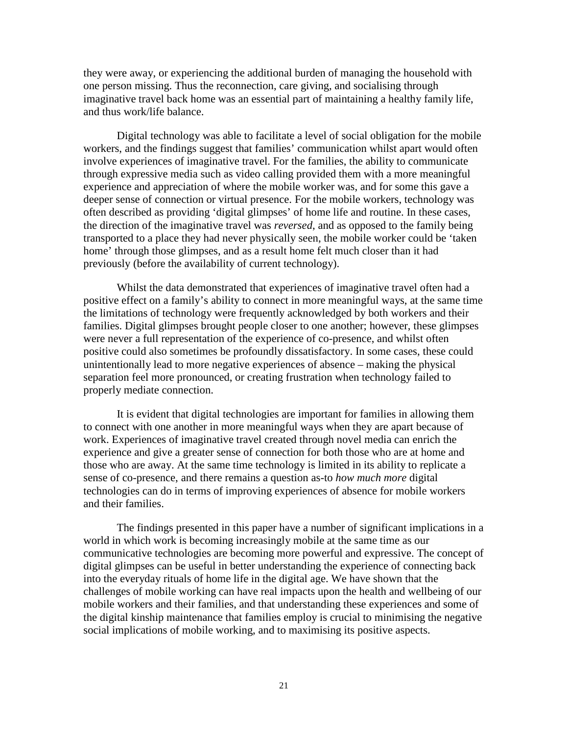they were away, or experiencing the additional burden of managing the household with one person missing. Thus the reconnection, care giving, and socialising through imaginative travel back home was an essential part of maintaining a healthy family life, and thus work/life balance.

Digital technology was able to facilitate a level of social obligation for the mobile workers, and the findings suggest that families' communication whilst apart would often involve experiences of imaginative travel. For the families, the ability to communicate through expressive media such as video calling provided them with a more meaningful experience and appreciation of where the mobile worker was, and for some this gave a deeper sense of connection or virtual presence. For the mobile workers, technology was often described as providing 'digital glimpses' of home life and routine. In these cases, the direction of the imaginative travel was *reversed*, and as opposed to the family being transported to a place they had never physically seen, the mobile worker could be 'taken home' through those glimpses, and as a result home felt much closer than it had previously (before the availability of current technology).

Whilst the data demonstrated that experiences of imaginative travel often had a positive effect on a family's ability to connect in more meaningful ways, at the same time the limitations of technology were frequently acknowledged by both workers and their families. Digital glimpses brought people closer to one another; however, these glimpses were never a full representation of the experience of co-presence, and whilst often positive could also sometimes be profoundly dissatisfactory. In some cases, these could unintentionally lead to more negative experiences of absence – making the physical separation feel more pronounced, or creating frustration when technology failed to properly mediate connection.

It is evident that digital technologies are important for families in allowing them to connect with one another in more meaningful ways when they are apart because of work. Experiences of imaginative travel created through novel media can enrich the experience and give a greater sense of connection for both those who are at home and those who are away. At the same time technology is limited in its ability to replicate a sense of co-presence, and there remains a question as-to *how much more* digital technologies can do in terms of improving experiences of absence for mobile workers and their families.

The findings presented in this paper have a number of significant implications in a world in which work is becoming increasingly mobile at the same time as our communicative technologies are becoming more powerful and expressive. The concept of digital glimpses can be useful in better understanding the experience of connecting back into the everyday rituals of home life in the digital age. We have shown that the challenges of mobile working can have real impacts upon the health and wellbeing of our mobile workers and their families, and that understanding these experiences and some of the digital kinship maintenance that families employ is crucial to minimising the negative social implications of mobile working, and to maximising its positive aspects.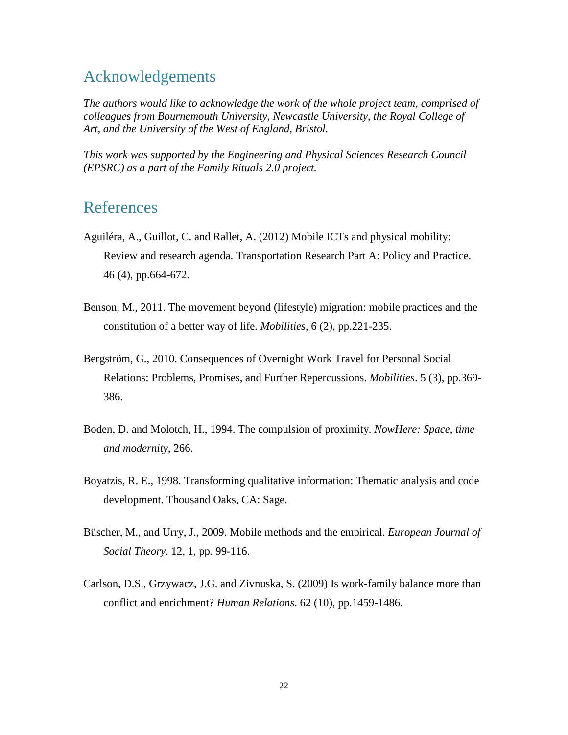# Acknowledgements

*The authors would like to acknowledge the work of the whole project team, comprised of colleagues from Bournemouth University, Newcastle University, the Royal College of Art, and the University of the West of England, Bristol.*

*This work was supported by the Engineering and Physical Sciences Research Council (EPSRC) as a part of the Family Rituals 2.0 project.*

## References

- Aguiléra, A., Guillot, C. and Rallet, A. (2012) Mobile ICTs and physical mobility: Review and research agenda. Transportation Research Part A: Policy and Practice. 46 (4), pp.664-672.
- Benson, M., 2011. The movement beyond (lifestyle) migration: mobile practices and the constitution of a better way of life. *Mobilities*, 6 (2), pp.221-235.
- Bergström, G., 2010. Consequences of Overnight Work Travel for Personal Social Relations: Problems, Promises, and Further Repercussions. *Mobilities*. 5 (3), pp.369- 386.
- Boden, D. and Molotch, H., 1994. The compulsion of proximity. *NowHere: Space, time and modernity*, 266.
- Boyatzis, R. E., 1998. Transforming qualitative information: Thematic analysis and code development. Thousand Oaks, CA: Sage.
- Büscher, M., and Urry, J., 2009. Mobile methods and the empirical. *European Journal of Social Theory*. 12, 1, pp. 99-116.
- Carlson, D.S., Grzywacz, J.G. and Zivnuska, S. (2009) Is work-family balance more than conflict and enrichment? *Human Relations*. 62 (10), pp.1459-1486.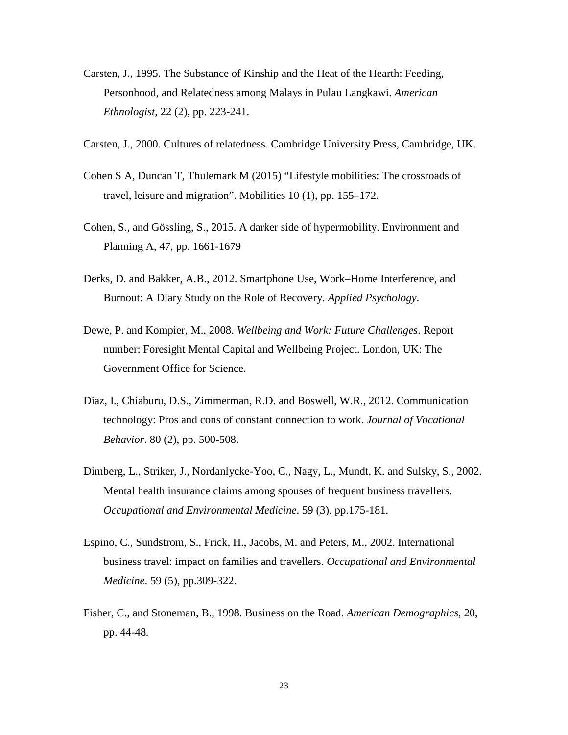- Carsten, J., 1995. The Substance of Kinship and the Heat of the Hearth: Feeding, Personhood, and Relatedness among Malays in Pulau Langkawi. *American Ethnologist*, 22 (2), pp. 223-241.
- Carsten, J., 2000. Cultures of relatedness. Cambridge University Press, Cambridge, UK.
- Cohen S A, Duncan T, Thulemark M (2015) "Lifestyle mobilities: The crossroads of travel, leisure and migration". Mobilities 10 (1), pp. 155–172.
- Cohen, S., and Gössling, S., 2015. A darker side of hypermobility. Environment and Planning A, 47, pp. 1661-1679
- Derks, D. and Bakker, A.B., 2012. Smartphone Use, Work–Home Interference, and Burnout: A Diary Study on the Role of Recovery. *Applied Psychology*.
- Dewe, P. and Kompier, M., 2008. *Wellbeing and Work: Future Challenges*. Report number: Foresight Mental Capital and Wellbeing Project. London, UK: The Government Office for Science.
- Diaz, I., Chiaburu, D.S., Zimmerman, R.D. and Boswell, W.R., 2012. Communication technology: Pros and cons of constant connection to work. *Journal of Vocational Behavior*. 80 (2), pp. 500-508.
- Dimberg, L., Striker, J., Nordanlycke-Yoo, C., Nagy, L., Mundt, K. and Sulsky, S., 2002. Mental health insurance claims among spouses of frequent business travellers. *Occupational and Environmental Medicine*. 59 (3), pp.175-181.
- Espino, C., Sundstrom, S., Frick, H., Jacobs, M. and Peters, M., 2002. International business travel: impact on families and travellers. *Occupational and Environmental Medicine*. 59 (5), pp.309-322.
- Fisher, C., and Stoneman, B., 1998. Business on the Road. *American Demographics,* 20, pp. 44-48*.*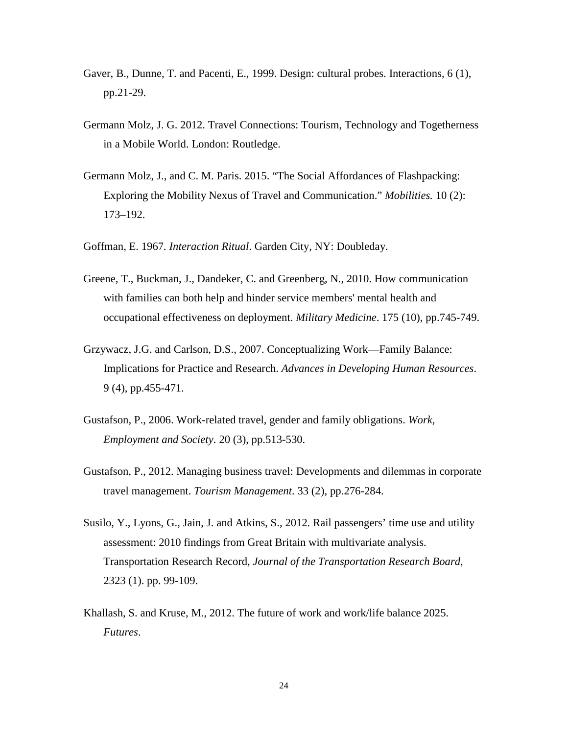- Gaver, B., Dunne, T. and Pacenti, E., 1999. Design: cultural probes. Interactions, 6 (1), pp.21-29.
- Germann Molz, J. G. 2012. Travel Connections: Tourism, Technology and Togetherness in a Mobile World. London: Routledge.
- Germann Molz, J., and C. M. Paris. 2015. "The Social Affordances of Flashpacking: Exploring the Mobility Nexus of Travel and Communication." *Mobilities.* 10 (2): 173–192.
- Goffman, E. 1967*. Interaction Ritual*. Garden City, NY: Doubleday.
- Greene, T., Buckman, J., Dandeker, C. and Greenberg, N., 2010. How communication with families can both help and hinder service members' mental health and occupational effectiveness on deployment. *Military Medicine*. 175 (10), pp.745-749.
- Grzywacz, J.G. and Carlson, D.S., 2007. Conceptualizing Work—Family Balance: Implications for Practice and Research. *Advances in Developing Human Resources*. 9 (4), pp.455-471.
- Gustafson, P., 2006. Work-related travel, gender and family obligations. *Work, Employment and Society*. 20 (3), pp.513-530.
- Gustafson, P., 2012. Managing business travel: Developments and dilemmas in corporate travel management. *Tourism Management*. 33 (2), pp.276-284.
- Susilo, Y., Lyons, G., Jain, J. and Atkins, S., 2012. Rail passengers' time use and utility assessment: 2010 findings from Great Britain with multivariate analysis. Transportation Research Record, *Journal of the Transportation Research Board*, 2323 (1). pp. 99-109.
- Khallash, S. and Kruse, M., 2012. The future of work and work/life balance 2025. *Futures*.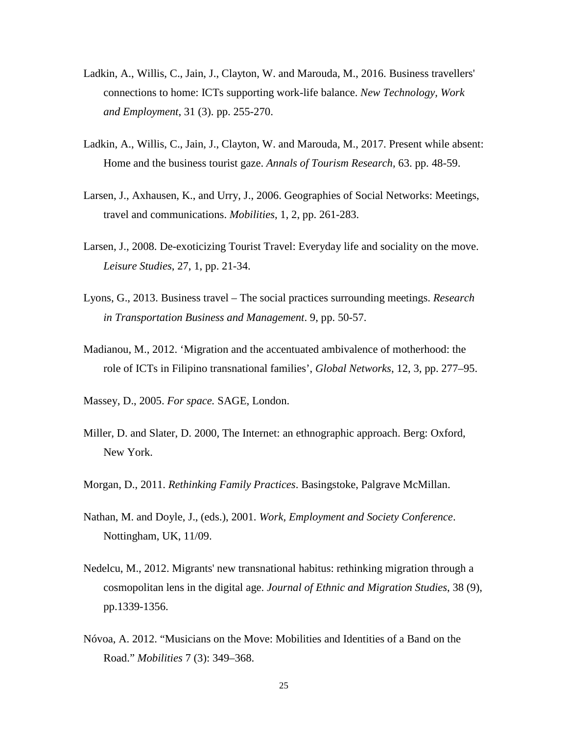- Ladkin, A., Willis, C., Jain, J., Clayton, W. and Marouda, M., 2016. Business travellers' connections to home: ICTs supporting work-life balance. *New Technology, Work and Employment*, 31 (3). pp. 255-270.
- Ladkin, A., Willis, C., Jain, J., Clayton, W. and Marouda, M., 2017. Present while absent: Home and the business tourist gaze. *Annals of Tourism Research,* 63. pp. 48-59.
- Larsen, J., Axhausen, K., and Urry, J., 2006. Geographies of Social Networks: Meetings, travel and communications. *Mobilities*, 1, 2, pp. 261-283.
- Larsen, J., 2008. De-exoticizing Tourist Travel: Everyday life and sociality on the move. *Leisure Studies*, 27, 1, pp. 21-34.
- Lyons, G., 2013. Business travel The social practices surrounding meetings. *Research in Transportation Business and Management*. 9, pp. 50-57.
- Madianou, M., 2012. 'Migration and the accentuated ambivalence of motherhood: the role of ICTs in Filipino transnational families', *Global Networks*, 12, 3, pp. 277–95.
- Massey, D., 2005. *For space.* SAGE, London.
- Miller, D. and Slater, D. 2000, The Internet: an ethnographic approach. Berg: Oxford, New York.
- Morgan, D., 2011. *Rethinking Family Practices*. Basingstoke, Palgrave McMillan.
- Nathan, M. and Doyle, J., (eds.), 2001. *Work, Employment and Society Conference*. Nottingham, UK, 11/09.
- Nedelcu, M., 2012. Migrants' new transnational habitus: rethinking migration through a cosmopolitan lens in the digital age. *Journal of Ethnic and Migration Studies*, 38 (9), pp.1339-1356.
- Nóvoa, A. 2012. "Musicians on the Move: Mobilities and Identities of a Band on the Road." *Mobilities* 7 (3): 349–368.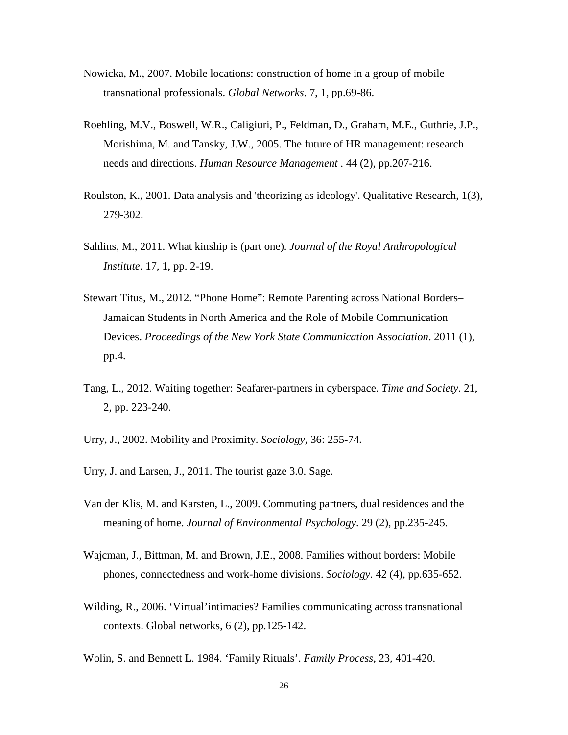- Nowicka, M., 2007. Mobile locations: construction of home in a group of mobile transnational professionals. *Global Networks*. 7, 1, pp.69-86.
- Roehling, M.V., Boswell, W.R., Caligiuri, P., Feldman, D., Graham, M.E., Guthrie, J.P., Morishima, M. and Tansky, J.W., 2005. The future of HR management: research needs and directions. *Human Resource Management* . 44 (2), pp.207-216.
- Roulston, K., 2001. Data analysis and 'theorizing as ideology'. Qualitative Research, 1(3), 279-302.
- Sahlins, M., 2011. What kinship is (part one). *Journal of the Royal Anthropological Institute*. 17, 1, pp. 2-19.
- Stewart Titus, M., 2012. "Phone Home": Remote Parenting across National Borders– Jamaican Students in North America and the Role of Mobile Communication Devices. *Proceedings of the New York State Communication Association*. 2011 (1), pp.4.
- Tang, L., 2012. Waiting together: Seafarer-partners in cyberspace. *Time and Society*. 21, 2, pp. 223-240.
- Urry, J., 2002. Mobility and Proximity. *Sociology,* 36: 255-74.
- Urry, J. and Larsen, J., 2011. The tourist gaze 3.0. Sage.
- Van der Klis, M. and Karsten, L., 2009. Commuting partners, dual residences and the meaning of home. *Journal of Environmental Psychology*. 29 (2), pp.235-245.
- Wajcman, J., Bittman, M. and Brown, J.E., 2008. Families without borders: Mobile phones, connectedness and work-home divisions. *Sociology*. 42 (4), pp.635-652.
- Wilding, R., 2006. 'Virtual'intimacies? Families communicating across transnational contexts. Global networks, 6 (2), pp.125-142.
- Wolin, S. and Bennett L. 1984. 'Family Rituals'. *Family Process,* 23, 401-420.